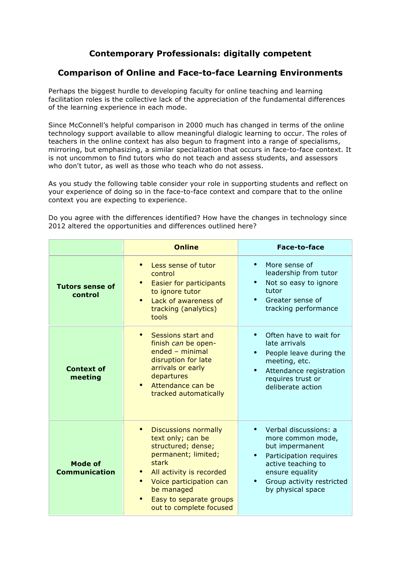## **Contemporary Professionals: digitally competent**

## **Comparison of Online and Face-to-face Learning Environments**

Perhaps the biggest hurdle to developing faculty for online teaching and learning facilitation roles is the collective lack of the appreciation of the fundamental differences of the learning experience in each mode.

Since McConnell's helpful comparison in 2000 much has changed in terms of the online technology support available to allow meaningful dialogic learning to occur. The roles of teachers in the online context has also begun to fragment into a range of specialisms, mirroring, but emphasizing, a similar specialization that occurs in face-to-face context. It is not uncommon to find tutors who do not teach and assess students, and assessors who don't tutor, as well as those who teach who do not assess.

As you study the following table consider your role in supporting students and reflect on your experience of doing so in the face-to-face context and compare that to the online context you are expecting to experience.

Do you agree with the differences identified? How have the changes in technology since 2012 altered the opportunities and differences outlined here?

|                                        | <b>Online</b>                                                                                                                                                                                                                                  | <b>Face-to-face</b>                                                                                                                                                                                                       |
|----------------------------------------|------------------------------------------------------------------------------------------------------------------------------------------------------------------------------------------------------------------------------------------------|---------------------------------------------------------------------------------------------------------------------------------------------------------------------------------------------------------------------------|
| <b>Tutors sense of</b><br>control      | Less sense of tutor<br>control<br>Easier for participants<br>to ignore tutor<br>Lack of awareness of<br>$\bullet$<br>tracking (analytics)<br>tools                                                                                             | $\bullet$<br>More sense of<br>leadership from tutor<br>Not so easy to ignore<br>$\bullet$<br>tutor<br>Greater sense of<br>tracking performance                                                                            |
| <b>Context of</b><br>meeting           | Sessions start and<br>$\bullet$<br>finish can be open-<br>$ended$ – minimal<br>disruption for late<br>arrivals or early<br>departures<br>Attendance can be<br>$\bullet$<br>tracked automatically                                               | Often have to wait for<br>late arrivals<br>People leave during the<br>meeting, etc.<br>Attendance registration<br>$\bullet$<br>requires trust or<br>deliberate action                                                     |
| <b>Mode of</b><br><b>Communication</b> | <b>Discussions normally</b><br>text only; can be<br>structured; dense;<br>permanent; limited;<br>stark<br>All activity is recorded<br>Voice participation can<br>be managed<br>Easy to separate groups<br>$\bullet$<br>out to complete focused | Verbal discussions: a<br>$\bullet$<br>more common mode,<br>but impermanent<br>Participation requires<br>$\bullet$<br>active teaching to<br>ensure equality<br>Group activity restricted<br>$\bullet$<br>by physical space |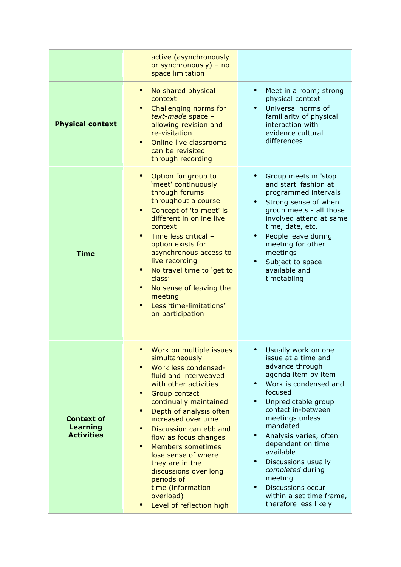|                                                           | active (asynchronously<br>or synchronously) - no<br>space limitation                                                                                                                                                                                                                                                                                                                                                                                                                                            |                                                                                                                                                                                                                                                                                                                                                                                                                                                             |
|-----------------------------------------------------------|-----------------------------------------------------------------------------------------------------------------------------------------------------------------------------------------------------------------------------------------------------------------------------------------------------------------------------------------------------------------------------------------------------------------------------------------------------------------------------------------------------------------|-------------------------------------------------------------------------------------------------------------------------------------------------------------------------------------------------------------------------------------------------------------------------------------------------------------------------------------------------------------------------------------------------------------------------------------------------------------|
| <b>Physical context</b>                                   | No shared physical<br>$\bullet$<br>context<br>Challenging norms for<br>$\bullet$<br>text-made space -<br>allowing revision and<br>re-visitation<br>Online live classrooms<br>$\bullet$<br>can be revisited<br>through recording                                                                                                                                                                                                                                                                                 | $\bullet$<br>Meet in a room; strong<br>physical context<br>Universal norms of<br>familiarity of physical<br>interaction with<br>evidence cultural<br>differences                                                                                                                                                                                                                                                                                            |
| <b>Time</b>                                               | Option for group to<br>$\bullet$<br>'meet' continuously<br>through forums<br>throughout a course<br>Concept of 'to meet' is<br>$\bullet$<br>different in online live<br>context<br>Time less critical -<br>$\bullet$<br>option exists for<br>asynchronous access to<br>live recording<br>No travel time to 'get to<br>$\bullet$<br>class'<br>No sense of leaving the<br>$\bullet$<br>meeting<br>Less 'time-limitations'<br>$\bullet$<br>on participation                                                        | Group meets in 'stop<br>and start' fashion at<br>programmed intervals<br>Strong sense of when<br>group meets - all those<br>involved attend at same<br>time, date, etc.<br>People leave during<br>$\bullet$<br>meeting for other<br>meetings<br>Subject to space<br>available and<br>timetabling                                                                                                                                                            |
| <b>Context of</b><br><b>Learning</b><br><b>Activities</b> | Work on multiple issues<br>simultaneously<br>Work less condensed-<br>$\bullet$<br>fluid and interweaved<br>with other activities<br>$\bullet$<br>Group contact<br>continually maintained<br>Depth of analysis often<br>$\bullet$<br>increased over time<br>Discussion can ebb and<br>$\bullet$<br>flow as focus changes<br>$\bullet$<br><b>Members sometimes</b><br>lose sense of where<br>they are in the<br>discussions over long<br>periods of<br>time (information<br>overload)<br>Level of reflection high | Usually work on one<br>issue at a time and<br>advance through<br>agenda item by item<br>Work is condensed and<br>focused<br>Unpredictable group<br>$\bullet$<br>contact in-between<br>meetings unless<br>mandated<br>Analysis varies, often<br>$\bullet$<br>dependent on time<br>available<br>Discussions usually<br>$\bullet$<br>completed during<br>meeting<br><b>Discussions occur</b><br>$\bullet$<br>within a set time frame,<br>therefore less likely |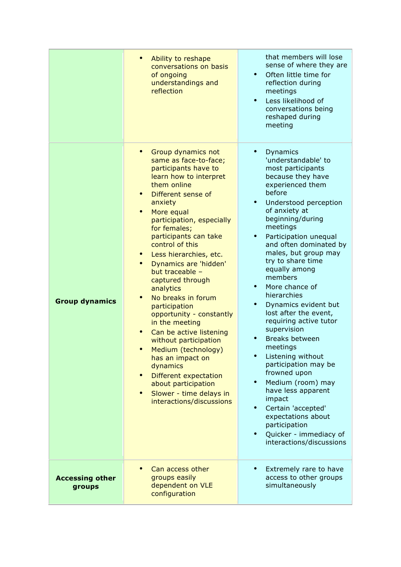|                                  | Ability to reshape<br>$\bullet$<br>conversations on basis<br>of ongoing<br>understandings and<br>reflection                                                                                                                                                                                                                                                                                                                                                                                                                                                                                                                                                                                                            | that members will lose<br>sense of where they are<br>Often little time for<br>reflection during<br>meetings<br>Less likelihood of<br>$\bullet$<br>conversations being<br>reshaped during<br>meeting                                                                                                                                                                                                                                                                                                                                                                                                                                                                                                                                                |
|----------------------------------|------------------------------------------------------------------------------------------------------------------------------------------------------------------------------------------------------------------------------------------------------------------------------------------------------------------------------------------------------------------------------------------------------------------------------------------------------------------------------------------------------------------------------------------------------------------------------------------------------------------------------------------------------------------------------------------------------------------------|----------------------------------------------------------------------------------------------------------------------------------------------------------------------------------------------------------------------------------------------------------------------------------------------------------------------------------------------------------------------------------------------------------------------------------------------------------------------------------------------------------------------------------------------------------------------------------------------------------------------------------------------------------------------------------------------------------------------------------------------------|
| <b>Group dynamics</b>            | Group dynamics not<br>$\bullet$<br>same as face-to-face;<br>participants have to<br>learn how to interpret<br>them online<br>Different sense of<br>anxiety<br>More equal<br>$\bullet$<br>participation, especially<br>for females;<br>participants can take<br>control of this<br>Less hierarchies, etc.<br>Dynamics are 'hidden'<br>but traceable -<br>captured through<br>analytics<br>No breaks in forum<br>$\bullet$<br>participation<br>opportunity - constantly<br>in the meeting<br>Can be active listening<br>without participation<br>Medium (technology)<br>has an impact on<br>dynamics<br>Different expectation<br>$\bullet$<br>about participation<br>Slower - time delays in<br>interactions/discussions | Dynamics<br>$\bullet$<br>'understandable' to<br>most participants<br>because they have<br>experienced them<br>before<br>Understood perception<br>of anxiety at<br>beginning/during<br>meetings<br>Participation unequal<br>and often dominated by<br>males, but group may<br>try to share time<br>equally among<br>members<br>More chance of<br>hierarchies<br>Dynamics evident but<br>$\bullet$<br>lost after the event,<br>requiring active tutor<br>supervision<br>Breaks between<br>meetings<br>Listening without<br>participation may be<br>frowned upon<br>Medium (room) may<br>$\bullet$<br>have less apparent<br>impact<br>Certain 'accepted'<br>expectations about<br>participation<br>Quicker - immediacy of<br>interactions/discussions |
| <b>Accessing other</b><br>groups | $\bullet$<br>Can access other<br>groups easily<br>dependent on VLE<br>configuration                                                                                                                                                                                                                                                                                                                                                                                                                                                                                                                                                                                                                                    | Extremely rare to have<br>access to other groups<br>simultaneously                                                                                                                                                                                                                                                                                                                                                                                                                                                                                                                                                                                                                                                                                 |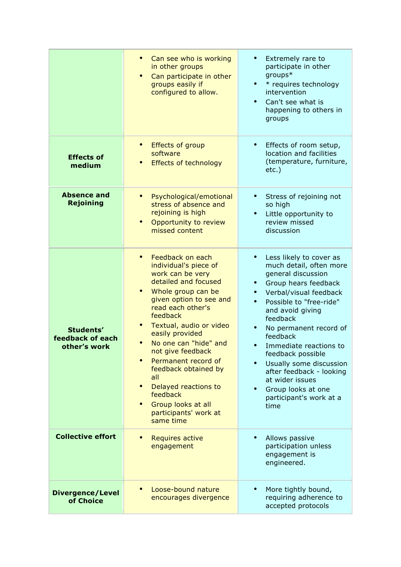|                                               | Can see who is working<br>in other groups<br>Can participate in other<br>groups easily if<br>configured to allow.                                                                                                                                                                                                                                                                                                         | Extremely rare to<br>participate in other<br>groups*<br>* requires technology<br>$\bullet$<br>intervention<br>Can't see what is<br>happening to others in<br>groups                                                                                                                                                                                                                                                        |
|-----------------------------------------------|---------------------------------------------------------------------------------------------------------------------------------------------------------------------------------------------------------------------------------------------------------------------------------------------------------------------------------------------------------------------------------------------------------------------------|----------------------------------------------------------------------------------------------------------------------------------------------------------------------------------------------------------------------------------------------------------------------------------------------------------------------------------------------------------------------------------------------------------------------------|
| <b>Effects of</b><br>medium                   | Effects of group<br>software<br><b>Effects of technology</b>                                                                                                                                                                                                                                                                                                                                                              | Effects of room setup,<br>location and facilities<br>(temperature, furniture,<br>$etc.$ )                                                                                                                                                                                                                                                                                                                                  |
| <b>Absence and</b><br><b>Rejoining</b>        | Psychological/emotional<br>stress of absence and<br>rejoining is high<br>Opportunity to review<br>missed content                                                                                                                                                                                                                                                                                                          | Stress of rejoining not<br>so high<br>Little opportunity to<br>$\bullet$<br>review missed<br>discussion                                                                                                                                                                                                                                                                                                                    |
| Students'<br>feedback of each<br>other's work | Feedback on each<br>individual's piece of<br>work can be very<br>detailed and focused<br>Whole group can be<br>given option to see and<br>read each other's<br>feedback<br>Textual, audio or video<br>easily provided<br>No one can "hide" and<br>not give feedback<br>Permanent record of<br>feedback obtained by<br>all<br>Delayed reactions to<br>feedback<br>Group looks at all<br>participants' work at<br>same time | Less likely to cover as<br>much detail, often more<br>general discussion<br>Group hears feedback<br>Verbal/visual feedback<br>Possible to "free-ride"<br>$\bullet$<br>and avoid giving<br>feedback<br>No permanent record of<br>feedback<br>Immediate reactions to<br>feedback possible<br>Usually some discussion<br>after feedback - looking<br>at wider issues<br>Group looks at one<br>participant's work at a<br>time |
| <b>Collective effort</b>                      | <b>Requires active</b><br>engagement                                                                                                                                                                                                                                                                                                                                                                                      | Allows passive<br>participation unless<br>engagement is<br>engineered.                                                                                                                                                                                                                                                                                                                                                     |
| <b>Divergence/Level</b><br>of Choice          | Loose-bound nature<br>encourages divergence                                                                                                                                                                                                                                                                                                                                                                               | More tightly bound,<br>requiring adherence to<br>accepted protocols                                                                                                                                                                                                                                                                                                                                                        |